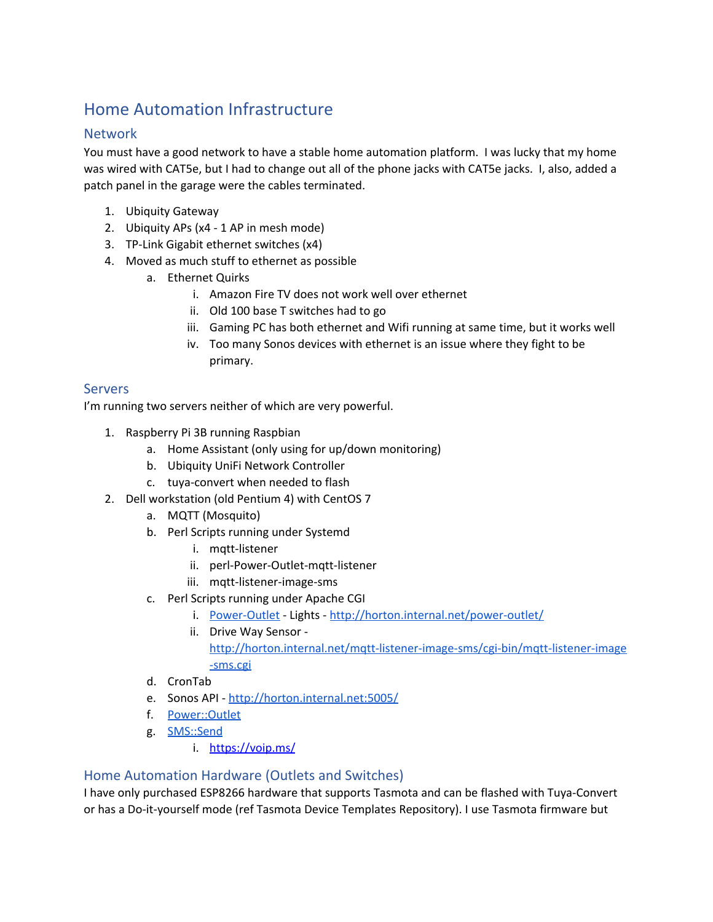# Home Automation Infrastructure

# Network

You must have a good network to have a stable home automation platform. I was lucky that my home was wired with CAT5e, but I had to change out all of the phone jacks with CAT5e jacks. I, also, added a patch panel in the garage were the cables terminated.

- 1. Ubiquity Gateway
- 2. Ubiquity APs (x4 1 AP in mesh mode)
- 3. TP-Link Gigabit ethernet switches (x4)
- 4. Moved as much stuff to ethernet as possible
	- a. Ethernet Quirks
		- i. Amazon Fire TV does not work well over ethernet
		- ii. Old 100 base T switches had to go
		- iii. Gaming PC has both ethernet and Wifi running at same time, but it works well
		- iv. Too many Sonos devices with ethernet is an issue where they fight to be primary.

### **Servers**

I'm running two servers neither of which are very powerful.

- 1. Raspberry Pi 3B running Raspbian
	- a. Home Assistant (only using for up/down monitoring)
	- b. Ubiquity UniFi Network Controller
	- c. tuya-convert when needed to flash
- 2. Dell workstation (old Pentium 4) with CentOS 7
	- a. MQTT (Mosquito)
	- b. Perl Scripts running under Systemd
		- i. mqtt-listener
			- ii. perl-Power-Outlet-mqtt-listener
		- iii. mqtt-listener-image-sms
	- c. Perl Scripts running under Apache CGI
		- i. [Power-Outlet](https://metacpan.org/release/Power-Outlet) Lights <http://horton.internal.net/power-outlet/>
		- ii. Drive Way Sensor [http://horton.internal.net/mqtt-listener-image-sms/cgi-bin/mqtt-listener-image](http://horton.internal.net/mqtt-listener-image-sms/cgi-bin/mqtt-listener-image-sms.cgi) [-sms.cgi](http://horton.internal.net/mqtt-listener-image-sms/cgi-bin/mqtt-listener-image-sms.cgi)
	- d. CronTab
	- e. Sonos API <http://horton.internal.net:5005/>
	- f. [Power::Outlet](https://metacpan.org/release/Power-Outlet)
	- g. [SMS::Send](https://metacpan.org/release/SMS-Send-VoIP-MS)
		- i. <https://voip.ms/>

# Home Automation Hardware (Outlets and Switches)

I have only purchased ESP8266 hardware that supports Tasmota and can be flashed with Tuya-Convert or has a Do-it-yourself mode (ref Tasmota Device Templates Repository). I use Tasmota firmware but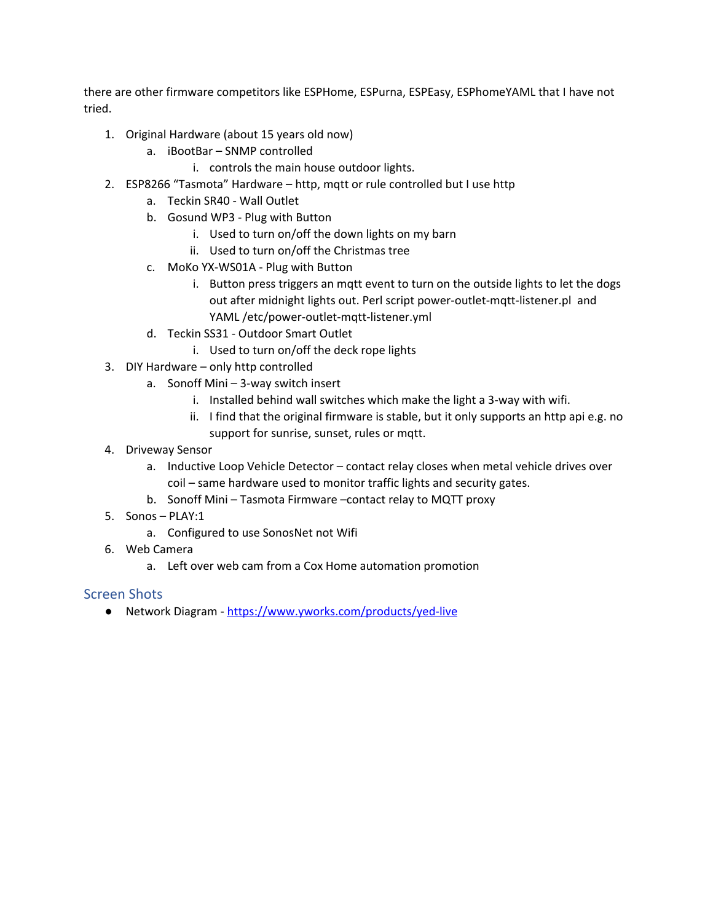there are other firmware competitors like ESPHome, ESPurna, ESPEasy, ESPhomeYAML that I have not tried.

- 1. Original Hardware (about 15 years old now)
	- a. iBootBar SNMP controlled
		- i. controls the main house outdoor lights.
- 2. ESP8266 "Tasmota" Hardware http, mqtt or rule controlled but I use http
	- a. Teckin SR40 Wall Outlet
	- b. Gosund WP3 Plug with Button
		- i. Used to turn on/off the down lights on my barn
		- ii. Used to turn on/off the Christmas tree
	- c. MoKo YX-WS01A Plug with Button
		- i. Button press triggers an mqtt event to turn on the outside lights to let the dogs out after midnight lights out. Perl script power-outlet-mqtt-listener.pl and YAML /etc/power-outlet-mqtt-listener.yml
	- d. Teckin SS31 Outdoor Smart Outlet
		- i. Used to turn on/off the deck rope lights
- 3. DIY Hardware only http controlled
	- a. Sonoff Mini 3-way switch insert
		- i. Installed behind wall switches which make the light a 3-way with wifi.
		- ii. I find that the original firmware is stable, but it only supports an http api e.g. no support for sunrise, sunset, rules or mqtt.
- 4. Driveway Sensor
	- a. Inductive Loop Vehicle Detector contact relay closes when metal vehicle drives over coil – same hardware used to monitor traffic lights and security gates.
	- b. Sonoff Mini Tasmota Firmware –contact relay to MQTT proxy
- 5. Sonos PLAY:1
	- a. Configured to use SonosNet not Wifi
- 6. Web Camera
	- a. Left over web cam from a Cox Home automation promotion

#### Screen Shots

● Network Diagram - <https://www.yworks.com/products/yed-live>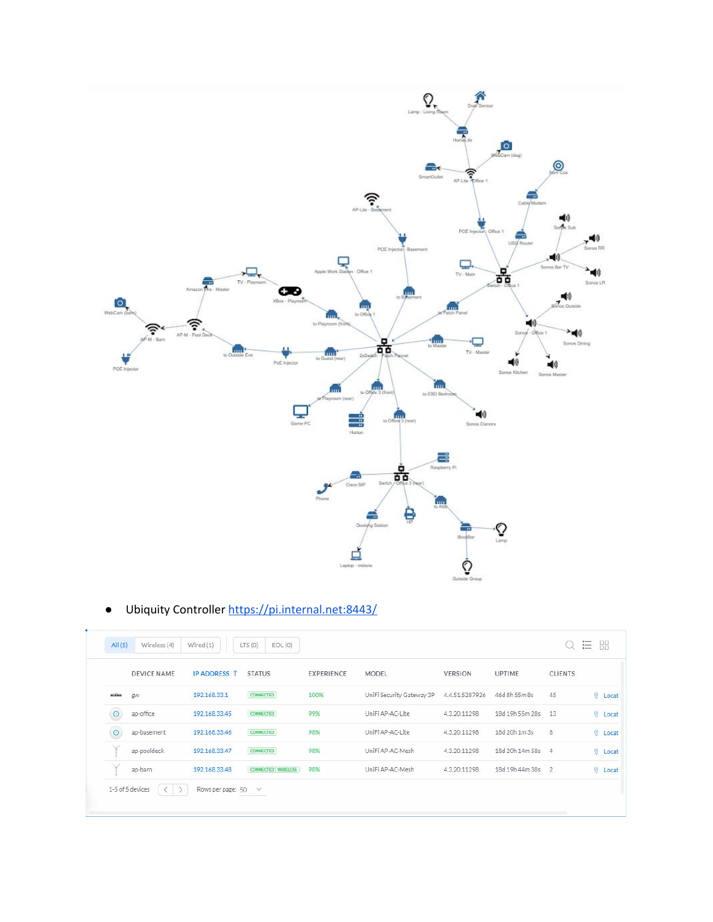

#### Ubiquity Controller https://pi.internal.net:8443/  $\bullet$

|             | <b>DEVICE NAME</b> | IP ADDRESS 1  | <b>STATUS</b>             | <b>EXPERIENCE</b> | MODEL                     | <b>VERSION</b> | <b>UPTIME</b>   | <b>CLIENTS</b> |                |       |
|-------------|--------------------|---------------|---------------------------|-------------------|---------------------------|----------------|-----------------|----------------|----------------|-------|
| <b>NAME</b> | gw                 | 192.168.33.1  | CONNECTED                 | 100%              | UniFi Security Gateway 3P | 4.4.51.5287926 | 46d 8h 55m 8s   | 45             | O.             | Locat |
| $\circ$     | ap-office          | 192.168.33.45 | CONNECTED                 | 99%               | UniFi AP-AC-Lite          | 4.3.20.11298   | 18d 19h 55m 28s | 13             | $\odot$        | Locat |
| $\circ$     | ap-basement        | 192.168.33.46 | CONNECTED                 | 98%               | UniFi AP-AC-Lite          | 4.3.20.11298   | 18d 20h 1m 3s   | 8              | $\overline{9}$ | Locat |
|             | ap-pooldeck        | 192.168.33.47 | CONNECTED                 | 98%               | UniFi AP-AC-Mesh          | 4.3.20.11298   | 18d 20h 14m 58s | 4              | 0              | Locat |
|             | ap-barn            | 192.168.33.48 | <b>CONNECTED WIRELESS</b> | 98%               | UniFi AP-AC-Mesh          | 4.3.20.11298   | 18d 19h 44m 38s | $\overline{2}$ | $\circ$        | Locat |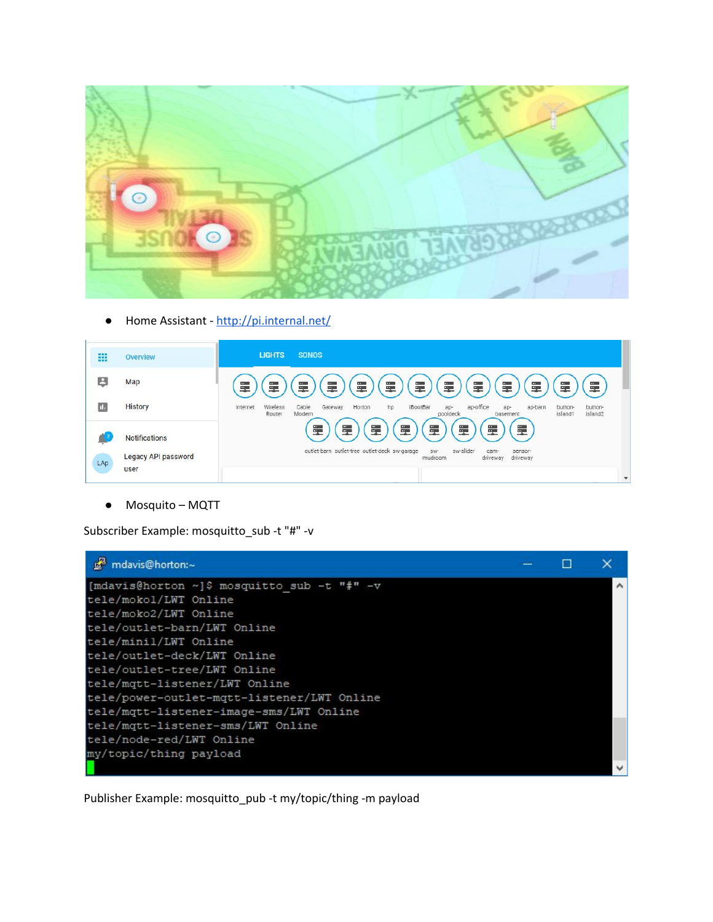

Home Assistant - [http://pi.internal.net/](http://pi.internal.net/lovelace/default_view)

| ₩           | Overview                    | <b>LIGHTS</b><br><b>SONOS</b>                                                                                                                                                                                 |
|-------------|-----------------------------|---------------------------------------------------------------------------------------------------------------------------------------------------------------------------------------------------------------|
| Ε           | Map                         | 墨<br>睪<br>量<br>量<br>睪<br>匰<br>覃<br>覃<br>墨<br>星<br>睾<br>匰<br>匰                                                                                                                                                 |
| d.          | History                     | ap-office<br>Cable<br>Wireless<br>iBootBar<br>Gateway<br>Horton<br>ap-barn<br>button-<br>Internet<br>hp<br>button-<br>ap-<br>ap-<br>pooldeck<br>island <sub>2</sub><br>island1<br>Router<br>Modem<br>basement |
|             | <b>Notifications</b>        | 匰<br>里<br>匰<br>匰<br>匰<br>匰<br>匰<br>睪                                                                                                                                                                          |
| LAp<br>- AN | Legacy API password<br>user | outlet-barn outlet-tree outlet-deck sw-garage<br>sw-slider<br>SW-<br>cam-<br>sensor-<br>driveway<br>driveway<br>mudroom                                                                                       |
|             |                             | $\overline{\mathbf{v}}$                                                                                                                                                                                       |

● Mosquito – MQTT

Subscriber Example: mosquitto\_sub -t "#" -v



Publisher Example: mosquitto\_pub -t my/topic/thing -m payload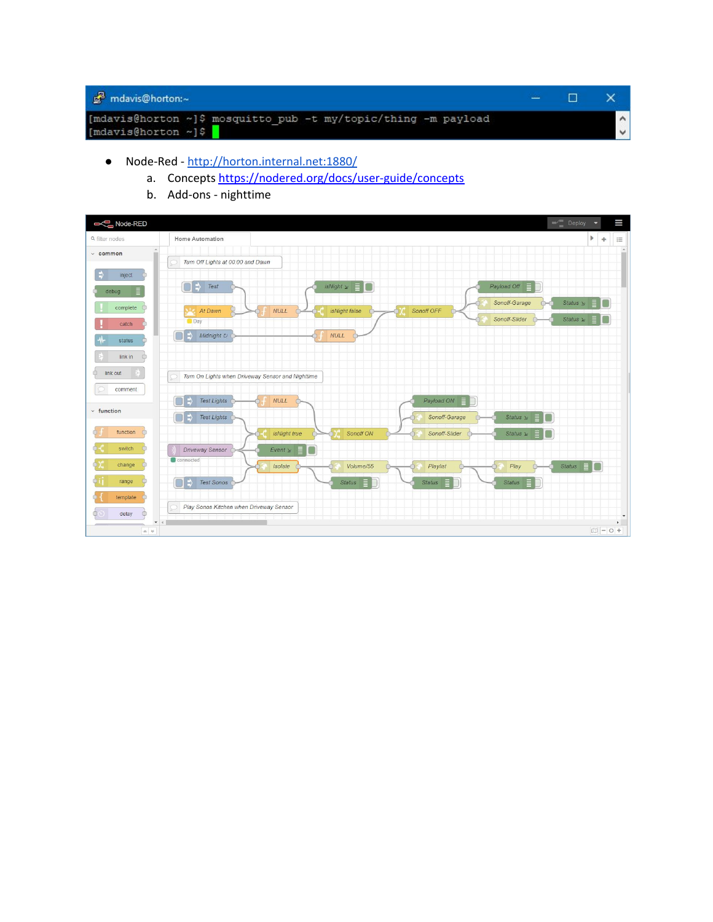

- Node-Red [http://horton.internal.net:1880/](http://horton.internal.net:1880/#flow/bbbcee28.8891c)
	- a. Concepts <https://nodered.org/docs/user-guide/concepts>
	- b. Add-ons nighttime

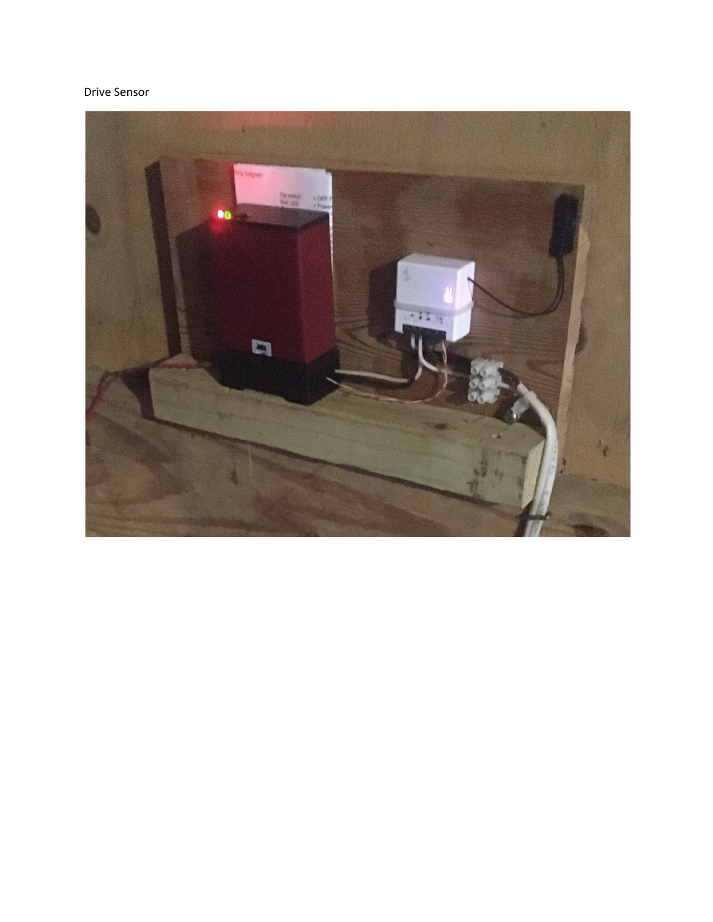# Drive Sensor

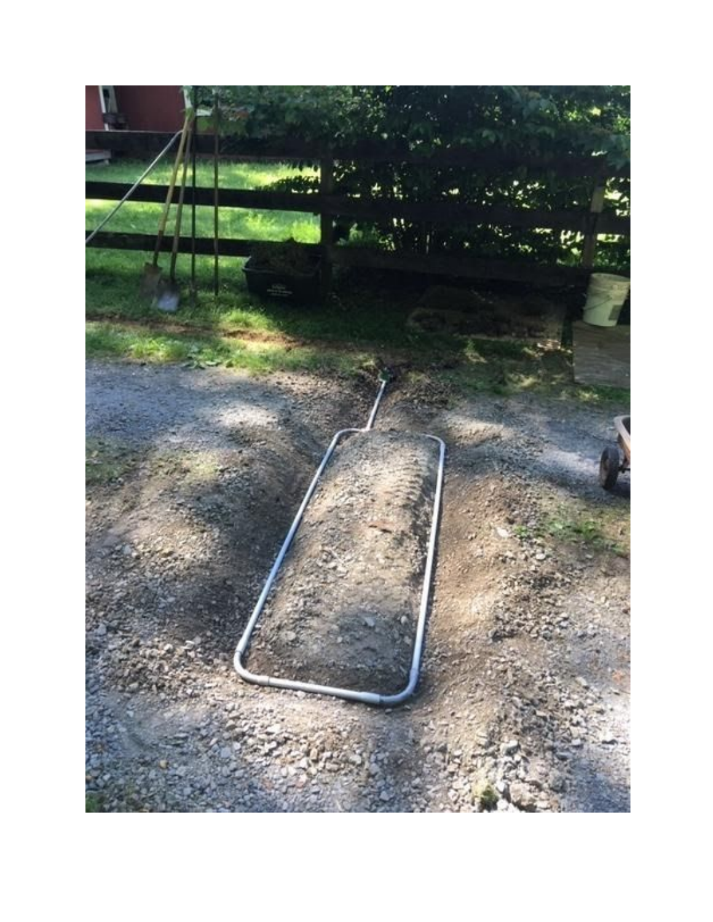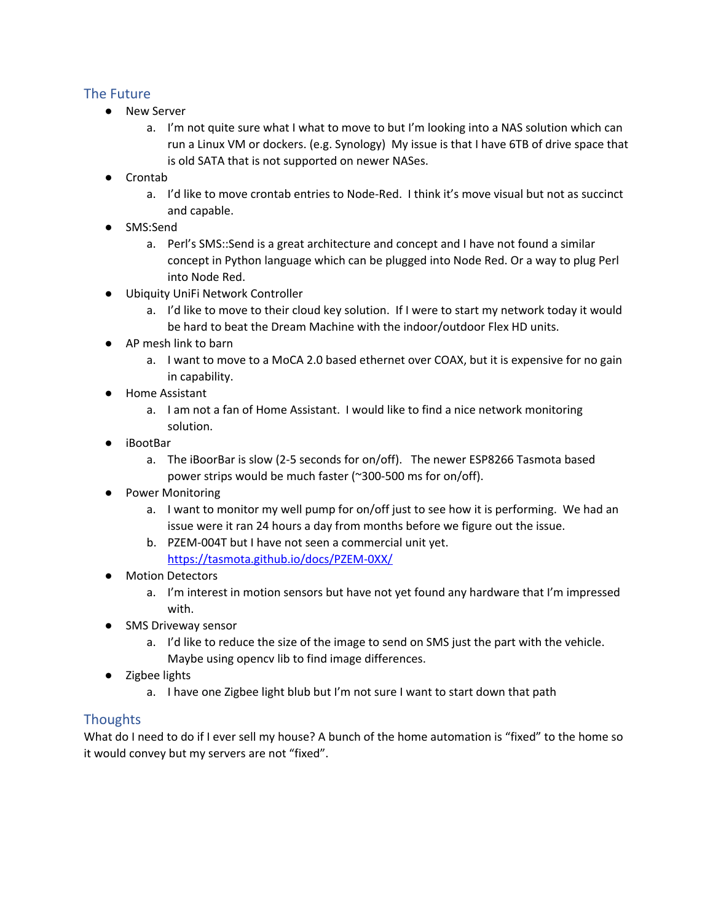# The Future

- New Server
	- a. I'm not quite sure what I what to move to but I'm looking into a NAS solution which can run a Linux VM or dockers. (e.g. Synology) My issue is that I have 6TB of drive space that is old SATA that is not supported on newer NASes.
- Crontab
	- a. I'd like to move crontab entries to Node-Red. I think it's move visual but not as succinct and capable.
- SMS:Send
	- a. Perl's SMS::Send is a great architecture and concept and I have not found a similar concept in Python language which can be plugged into Node Red. Or a way to plug Perl into Node Red.
- Ubiquity UniFi Network Controller
	- a. I'd like to move to their cloud key solution. If I were to start my network today it would be hard to beat the Dream Machine with the indoor/outdoor Flex HD units.
- AP mesh link to barn
	- a. I want to move to a MoCA 2.0 based ethernet over COAX, but it is expensive for no gain in capability.
- Home Assistant
	- a. I am not a fan of Home Assistant. I would like to find a nice network monitoring solution.
- iBootBar
	- a. The iBoorBar is slow (2-5 seconds for on/off). The newer ESP8266 Tasmota based power strips would be much faster (~300-500 ms for on/off).
- Power Monitoring
	- a. I want to monitor my well pump for on/off just to see how it is performing. We had an issue were it ran 24 hours a day from months before we figure out the issue.
	- b. PZEM-004T but I have not seen a commercial unit yet. <https://tasmota.github.io/docs/PZEM-0XX/>
- Motion Detectors
	- a. I'm interest in motion sensors but have not yet found any hardware that I'm impressed with.
- SMS Driveway sensor
	- a. I'd like to reduce the size of the image to send on SMS just the part with the vehicle. Maybe using opencv lib to find image differences.
- Zigbee lights
	- a. I have one Zigbee light blub but I'm not sure I want to start down that path

# **Thoughts**

What do I need to do if I ever sell my house? A bunch of the home automation is "fixed" to the home so it would convey but my servers are not "fixed".